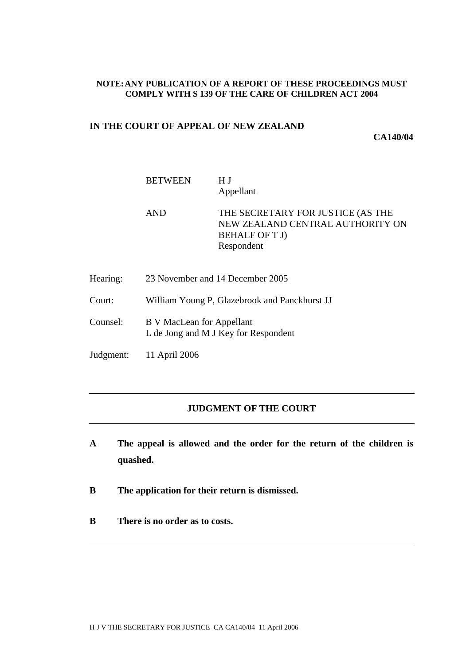### **NOTE:ANY PUBLICATION OF A REPORT OF THESE PROCEEDINGS MUST COMPLY WITH S 139 OF THE CARE OF CHILDREN ACT 2004**

# **IN THE COURT OF APPEAL OF NEW ZEALAND**

**CA140/04**

| <b>BETWEEN</b> | H <sub>J</sub> |
|----------------|----------------|
|                | Appellant      |

AND THE SECRETARY FOR JUSTICE (AS THE NEW ZEALAND CENTRAL AUTHORITY ON BEHALF OF T J) Respondent

- Hearing: 23 November and 14 December 2005
- Court: William Young P, Glazebrook and Panckhurst JJ
- Counsel: B V MacLean for Appellant L de Jong and M J Key for Respondent
- Judgment: 11 April 2006

# **JUDGMENT OF THE COURT**

- **A The appeal is allowed and the order for the return of the children is quashed.**
- **B The application for their return is dismissed.**
- **B There is no order as to costs.**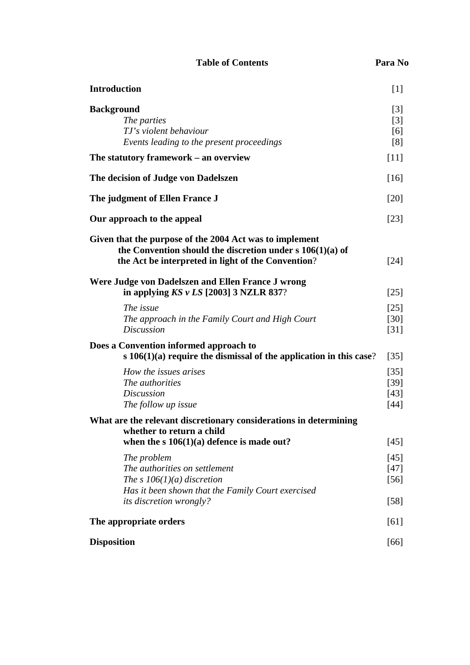| <b>Table of Contents</b> | Para No |  |
|--------------------------|---------|--|
|--------------------------|---------|--|

| ш<br> | n |
|-------|---|
|-------|---|

| <b>Introduction</b>                                                                                                                                                           | $[1]$                                    |
|-------------------------------------------------------------------------------------------------------------------------------------------------------------------------------|------------------------------------------|
| <b>Background</b><br>The parties<br>TJ's violent behaviour<br>Events leading to the present proceedings                                                                       | $\lceil 3 \rceil$<br>$[3]$<br>[6]<br>[8] |
| The statutory framework – an overview                                                                                                                                         | $[11]$                                   |
| The decision of Judge von Dadelszen                                                                                                                                           | $[16]$                                   |
| The judgment of Ellen France J                                                                                                                                                | $[20]$                                   |
| Our approach to the appeal                                                                                                                                                    | $[23]$                                   |
| Given that the purpose of the 2004 Act was to implement<br>the Convention should the discretion under $s\ 106(1)(a)$ of<br>the Act be interpreted in light of the Convention? | $[24]$                                   |
| Were Judge von Dadelszen and Ellen France J wrong<br>in applying $KS$ v LS [2003] 3 NZLR 837?                                                                                 | $[25]$                                   |
| The issue<br>The approach in the Family Court and High Court<br><b>Discussion</b>                                                                                             | $[25]$<br>$[30]$<br>$[31]$               |
| Does a Convention informed approach to<br>s $106(1)(a)$ require the dismissal of the application in this case?                                                                | $[35]$                                   |
| How the issues arises<br>The authorities<br><b>Discussion</b><br>The follow up issue                                                                                          | $[35]$<br>$[39]$<br>$[43]$<br>$[44]$     |
| What are the relevant discretionary considerations in determining<br>whether to return a child<br>when the $s \ 106(1)(a)$ defence is made out?                               | $[45]$                                   |
| The problem<br>The authorities on settlement<br>The s $106(1)(a)$ discretion<br>Has it been shown that the Family Court exercised<br><i>its discretion wrongly?</i>           | $[45]$<br>$[47]$<br>$[56]$<br>$[58]$     |
| The appropriate orders                                                                                                                                                        | [61]                                     |
| <b>Disposition</b>                                                                                                                                                            | [66]                                     |
|                                                                                                                                                                               |                                          |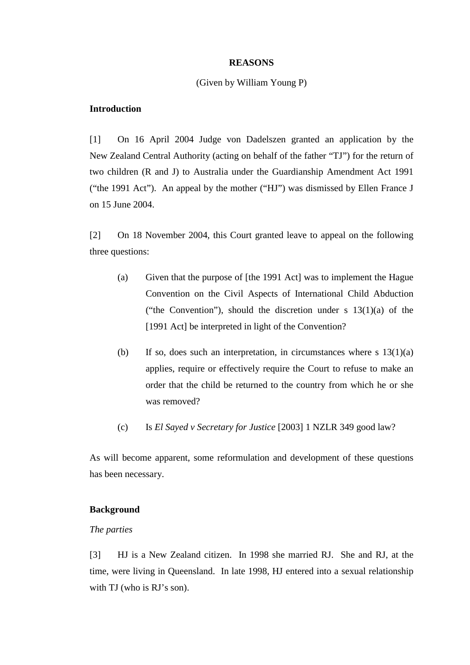### **REASONS**

## (Given by William Young P)

# **Introduction**

[1] On 16 April 2004 Judge von Dadelszen granted an application by the New Zealand Central Authority (acting on behalf of the father "TJ") for the return of two children (R and J) to Australia under the Guardianship Amendment Act 1991 ("the 1991 Act"). An appeal by the mother ("HJ") was dismissed by Ellen France J on 15 June 2004.

[2] On 18 November 2004, this Court granted leave to appeal on the following three questions:

- (a) Given that the purpose of [the 1991 Act] was to implement the Hague Convention on the Civil Aspects of International Child Abduction ("the Convention"), should the discretion under s  $13(1)(a)$  of the [1991 Act] be interpreted in light of the Convention?
- (b) If so, does such an interpretation, in circumstances where s  $13(1)(a)$ applies, require or effectively require the Court to refuse to make an order that the child be returned to the country from which he or she was removed?
- (c) Is *El Sayed v Secretary for Justice* [2003] 1 NZLR 349 good law?

As will become apparent, some reformulation and development of these questions has been necessary.

### **Background**

### *The parties*

[3] HJ is a New Zealand citizen. In 1998 she married RJ. She and RJ, at the time, were living in Queensland. In late 1998, HJ entered into a sexual relationship with TJ (who is RJ's son).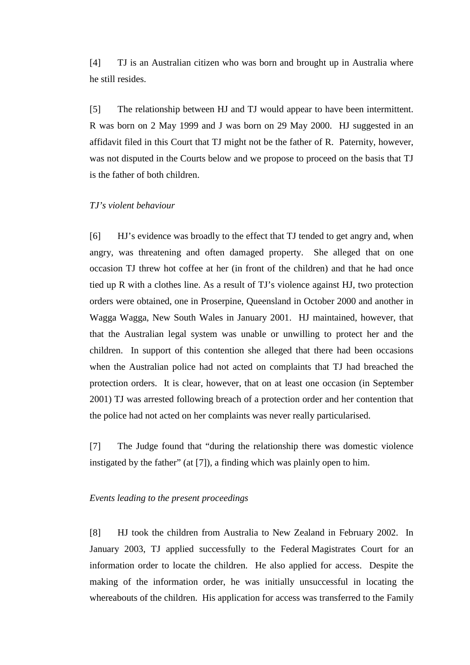[4] TJ is an Australian citizen who was born and brought up in Australia where he still resides.

[5] The relationship between HJ and TJ would appear to have been intermittent. R was born on 2 May 1999 and J was born on 29 May 2000. HJ suggested in an affidavit filed in this Court that TJ might not be the father of R. Paternity, however, was not disputed in the Courts below and we propose to proceed on the basis that TJ is the father of both children.

# *TJ's violent behaviour*

[6] HJ's evidence was broadly to the effect that TJ tended to get angry and, when angry, was threatening and often damaged property. She alleged that on one occasion TJ threw hot coffee at her (in front of the children) and that he had once tied up R with a clothes line. As a result of TJ's violence against HJ, two protection orders were obtained, one in Proserpine, Queensland in October 2000 and another in Wagga Wagga, New South Wales in January 2001. HJ maintained, however, that that the Australian legal system was unable or unwilling to protect her and the children. In support of this contention she alleged that there had been occasions when the Australian police had not acted on complaints that TJ had breached the protection orders. It is clear, however, that on at least one occasion (in September 2001) TJ was arrested following breach of a protection order and her contention that the police had not acted on her complaints was never really particularised.

[7] The Judge found that "during the relationship there was domestic violence instigated by the father" (at [7]), a finding which was plainly open to him.

## *Events leading to the present proceedings*

[8] HJ took the children from Australia to New Zealand in February 2002. In January 2003, TJ applied successfully to the Federal Magistrates Court for an information order to locate the children. He also applied for access. Despite the making of the information order, he was initially unsuccessful in locating the whereabouts of the children. His application for access was transferred to the Family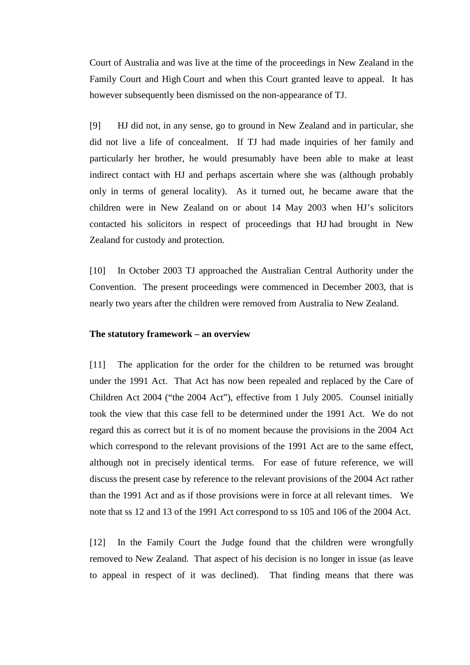Court of Australia and was live at the time of the proceedings in New Zealand in the Family Court and High Court and when this Court granted leave to appeal. It has however subsequently been dismissed on the non-appearance of TJ.

[9] HJ did not, in any sense, go to ground in New Zealand and in particular, she did not live a life of concealment. If TJ had made inquiries of her family and particularly her brother, he would presumably have been able to make at least indirect contact with HJ and perhaps ascertain where she was (although probably only in terms of general locality). As it turned out, he became aware that the children were in New Zealand on or about 14 May 2003 when HJ's solicitors contacted his solicitors in respect of proceedings that HJ had brought in New Zealand for custody and protection.

[10] In October 2003 TJ approached the Australian Central Authority under the Convention. The present proceedings were commenced in December 2003, that is nearly two years after the children were removed from Australia to New Zealand.

### **The statutory framework – an overview**

[11] The application for the order for the children to be returned was brought under the 1991 Act. That Act has now been repealed and replaced by the Care of Children Act 2004 ("the 2004 Act"), effective from 1 July 2005. Counsel initially took the view that this case fell to be determined under the 1991 Act. We do not regard this as correct but it is of no moment because the provisions in the 2004 Act which correspond to the relevant provisions of the 1991 Act are to the same effect, although not in precisely identical terms. For ease of future reference, we will discuss the present case by reference to the relevant provisions of the 2004 Act rather than the 1991 Act and as if those provisions were in force at all relevant times. We note that ss 12 and 13 of the 1991 Act correspond to ss 105 and 106 of the 2004 Act.

[12] In the Family Court the Judge found that the children were wrongfully removed to New Zealand. That aspect of his decision is no longer in issue (as leave to appeal in respect of it was declined). That finding means that there was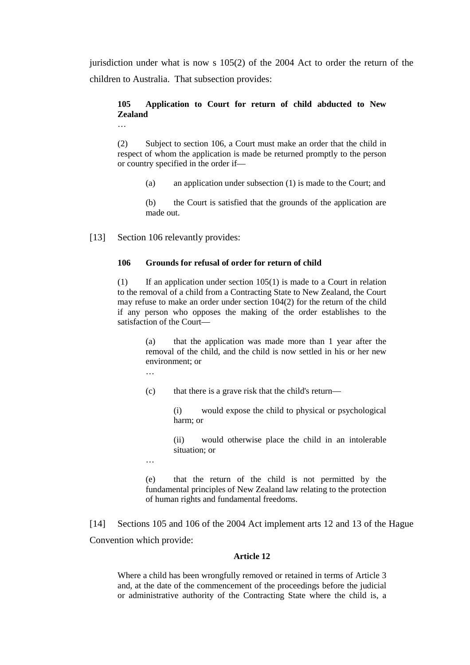jurisdiction under what is now s 105(2) of the 2004 Act to order the return of the children to Australia. That subsection provides:

# **105 Application to Court for return of child abducted to New Zealand**

(2) Subject to section 106, a Court must make an order that the child in respect of whom the application is made be returned promptly to the person or country specified in the order if—

(a) an application under subsection (1) is made to the Court; and

(b) the Court is satisfied that the grounds of the application are made out.

[13] Section 106 relevantly provides:

…

#### **106 Grounds for refusal of order for return of child**

(1) If an application under section  $105(1)$  is made to a Court in relation to the removal of a child from a Contracting State to New Zealand, the Court may refuse to make an order under section 104(2) for the return of the child if any person who opposes the making of the order establishes to the satisfaction of the Court—

> (a) that the application was made more than 1 year after the removal of the child, and the child is now settled in his or her new environment; or

…

(c) that there is a grave risk that the child's return—

(i) would expose the child to physical or psychological harm; or

(ii) would otherwise place the child in an intolerable situation; or

…

(e) that the return of the child is not permitted by the fundamental principles of New Zealand law relating to the protection of human rights and fundamental freedoms.

[14] Sections 105 and 106 of the 2004 Act implement arts 12 and 13 of the Hague Convention which provide:

#### **Article 12**

Where a child has been wrongfully removed or retained in terms of Article 3 and, at the date of the commencement of the proceedings before the judicial or administrative authority of the Contracting State where the child is, a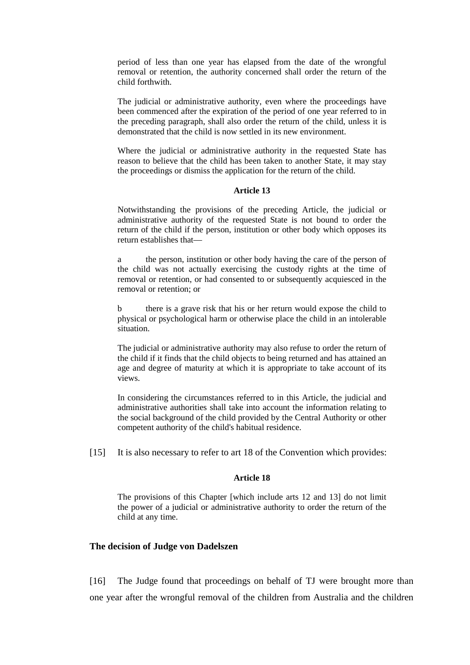period of less than one year has elapsed from the date of the wrongful removal or retention, the authority concerned shall order the return of the child forthwith.

The judicial or administrative authority, even where the proceedings have been commenced after the expiration of the period of one year referred to in the preceding paragraph, shall also order the return of the child, unless it is demonstrated that the child is now settled in its new environment.

Where the judicial or administrative authority in the requested State has reason to believe that the child has been taken to another State, it may stay the proceedings or dismiss the application for the return of the child.

#### **Article 13**

Notwithstanding the provisions of the preceding Article, the judicial or administrative authority of the requested State is not bound to order the return of the child if the person, institution or other body which opposes its return establishes that—

a the person, institution or other body having the care of the person of the child was not actually exercising the custody rights at the time of removal or retention, or had consented to or subsequently acquiesced in the removal or retention; or

b there is a grave risk that his or her return would expose the child to physical or psychological harm or otherwise place the child in an intolerable situation.

The judicial or administrative authority may also refuse to order the return of the child if it finds that the child objects to being returned and has attained an age and degree of maturity at which it is appropriate to take account of its views.

In considering the circumstances referred to in this Article, the judicial and administrative authorities shall take into account the information relating to the social background of the child provided by the Central Authority or other competent authority of the child's habitual residence.

[15] It is also necessary to refer to art 18 of the Convention which provides:

#### **Article 18**

The provisions of this Chapter [which include arts 12 and 13] do not limit the power of a judicial or administrative authority to order the return of the child at any time.

## **The decision of Judge von Dadelszen**

[16] The Judge found that proceedings on behalf of TJ were brought more than one year after the wrongful removal of the children from Australia and the children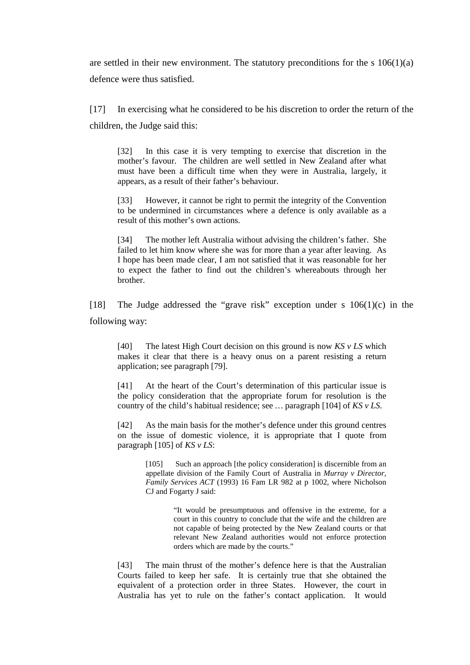are settled in their new environment. The statutory preconditions for the s  $106(1)(a)$ defence were thus satisfied.

[17] In exercising what he considered to be his discretion to order the return of the children, the Judge said this:

[32] In this case it is very tempting to exercise that discretion in the mother's favour. The children are well settled in New Zealand after what must have been a difficult time when they were in Australia, largely, it appears, as a result of their father's behaviour.

[33] However, it cannot be right to permit the integrity of the Convention to be undermined in circumstances where a defence is only available as a result of this mother's own actions.

[34] The mother left Australia without advising the children's father. She failed to let him know where she was for more than a year after leaving. As I hope has been made clear, I am not satisfied that it was reasonable for her to expect the father to find out the children's whereabouts through her brother.

[18] The Judge addressed the "grave risk" exception under s 106(1)(c) in the following way:

[40] The latest High Court decision on this ground is now *KS v LS* which makes it clear that there is a heavy onus on a parent resisting a return application; see paragraph [79].

[41] At the heart of the Court's determination of this particular issue is the policy consideration that the appropriate forum for resolution is the country of the child's habitual residence; see *…* paragraph [104] of *KS v LS*.

[42] As the main basis for the mother's defence under this ground centres on the issue of domestic violence, it is appropriate that I quote from paragraph [105] of *KS v LS*:

> [105] Such an approach [the policy consideration] is discernible from an appellate division of the Family Court of Australia in *Murray v Director, Family Services ACT* (1993) 16 Fam LR 982 at p 1002, where Nicholson CJ and Fogarty J said:

> > "It would be presumptuous and offensive in the extreme, for a court in this country to conclude that the wife and the children are not capable of being protected by the New Zealand courts or that relevant New Zealand authorities would not enforce protection orders which are made by the courts."

[43] The main thrust of the mother's defence here is that the Australian Courts failed to keep her safe. It is certainly true that she obtained the equivalent of a protection order in three States. However, the court in Australia has yet to rule on the father's contact application. It would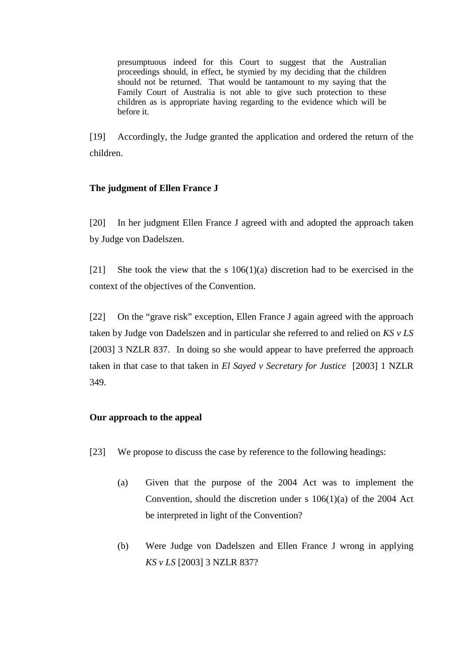presumptuous indeed for this Court to suggest that the Australian proceedings should, in effect, be stymied by my deciding that the children should not be returned. That would be tantamount to my saying that the Family Court of Australia is not able to give such protection to these children as is appropriate having regarding to the evidence which will be before it.

[19] Accordingly, the Judge granted the application and ordered the return of the children.

# **The judgment of Ellen France J**

[20] In her judgment Ellen France J agreed with and adopted the approach taken by Judge von Dadelszen.

[21] She took the view that the s  $106(1)(a)$  discretion had to be exercised in the context of the objectives of the Convention.

[22] On the "grave risk" exception, Ellen France J again agreed with the approach taken by Judge von Dadelszen and in particular she referred to and relied on *KS v LS* [2003] 3 NZLR 837. In doing so she would appear to have preferred the approach taken in that case to that taken in *El Sayed v Secretary for Justice* [2003] 1 NZLR 349.

# **Our approach to the appeal**

- [23] We propose to discuss the case by reference to the following headings:
	- (a) Given that the purpose of the 2004 Act was to implement the Convention, should the discretion under s 106(1)(a) of the 2004 Act be interpreted in light of the Convention?
	- (b) Were Judge von Dadelszen and Ellen France J wrong in applying *KS v LS* [2003] 3 NZLR 837?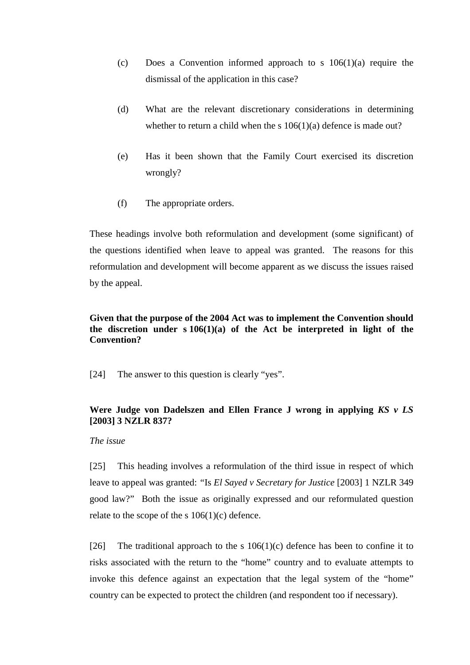- (c) Does a Convention informed approach to s 106(1)(a) require the dismissal of the application in this case?
- (d) What are the relevant discretionary considerations in determining whether to return a child when the s  $106(1)(a)$  defence is made out?
- (e) Has it been shown that the Family Court exercised its discretion wrongly?
- (f) The appropriate orders.

These headings involve both reformulation and development (some significant) of the questions identified when leave to appeal was granted. The reasons for this reformulation and development will become apparent as we discuss the issues raised by the appeal.

# **Given that the purpose of the 2004 Act was to implement the Convention should the discretion under s 106(1)(a) of the Act be interpreted in light of the Convention?**

[24] The answer to this question is clearly "yes".

# **Were Judge von Dadelszen and Ellen France J wrong in applying** *KS v LS* **[2003] 3 NZLR 837?**

### *The issue*

[25] This heading involves a reformulation of the third issue in respect of which leave to appeal was granted: *"*Is *El Sayed v Secretary for Justice* [2003] 1 NZLR 349 good law?" Both the issue as originally expressed and our reformulated question relate to the scope of the s  $106(1)(c)$  defence.

[26] The traditional approach to the s  $106(1)(c)$  defence has been to confine it to risks associated with the return to the "home" country and to evaluate attempts to invoke this defence against an expectation that the legal system of the "home" country can be expected to protect the children (and respondent too if necessary).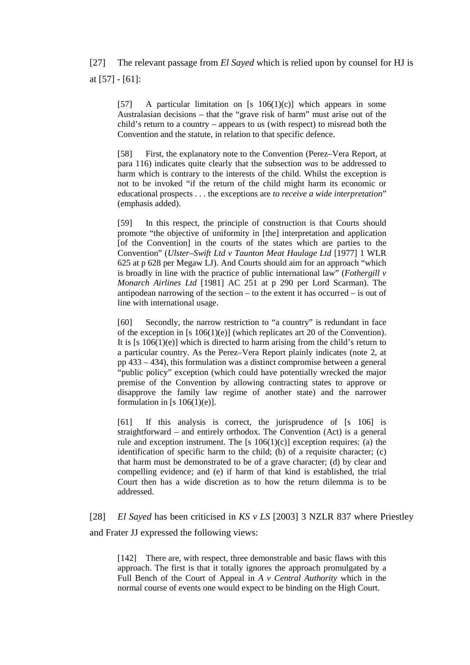[27] The relevant passage from *El Sayed* which is relied upon by counsel for HJ is at [57] - [61]:

[57] A particular limitation on [s  $106(1)(c)$ ] which appears in some Australasian decisions – that the "grave risk of harm" must arise out of the child's return to a country – appears to us (with respect) to misread both the Convention and the statute, in relation to that specific defence.

[58] First, the explanatory note to the Convention (Perez–Vera Report, at para 116) indicates quite clearly that the subsection *was* to be addressed to harm which is contrary to the interests of the child. Whilst the exception is not to be invoked "if the return of the child might harm its economic or educational prospects . . . the exceptions are *to receive a wide interpretation*" (emphasis added).

[59] In this respect, the principle of construction is that Courts should promote "the objective of uniformity in [the] interpretation and application [of the Convention] in the courts of the states which are parties to the Convention" (*Ulster–Swift Ltd v Taunton Meat Haulage Ltd* [1977] 1 WLR 625 at p 628 per Megaw LJ). And Courts should aim for an approach "which is broadly in line with the practice of public international law" (*Fothergill v Monarch Airlines Ltd* [1981] AC 251 at p 290 per Lord Scarman). The antipodean narrowing of the section – to the extent it has occurred – is out of line with international usage.

[60] Secondly, the narrow restriction to "a country" is redundant in face of the exception in [s 106(1)(e)] (which replicates art 20 of the Convention). It is  $[s 106(1)(e)]$  which is directed to harm arising from the child's return to a particular country. As the Perez–Vera Report plainly indicates (note 2, at pp 433 – 434), this formulation was a distinct compromise between a general "public policy" exception (which could have potentially wrecked the major premise of the Convention by allowing contracting states to approve or disapprove the family law regime of another state) and the narrower formulation in [s  $106(1)(e)$ ].

[61] If this analysis is correct, the jurisprudence of [s 106] is straightforward – and entirely orthodox. The Convention (Act) is a general rule and exception instrument. The [s  $106(1)(c)$ ] exception requires: (a) the identification of specific harm to the child; (b) of a requisite character; (c) that harm must be demonstrated to be of a grave character; (d) by clear and compelling evidence; and (e) if harm of that kind is established, the trial Court then has a wide discretion as to how the return dilemma is to be addressed.

[28] *El Sayed* has been criticised in *KS v LS* [2003] 3 NZLR 837 where Priestley and Frater JJ expressed the following views:

[142] There are, with respect, three demonstrable and basic flaws with this approach. The first is that it totally ignores the approach promulgated by a Full Bench of the Court of Appeal in *A v Central Authority* which in the normal course of events one would expect to be binding on the High Court.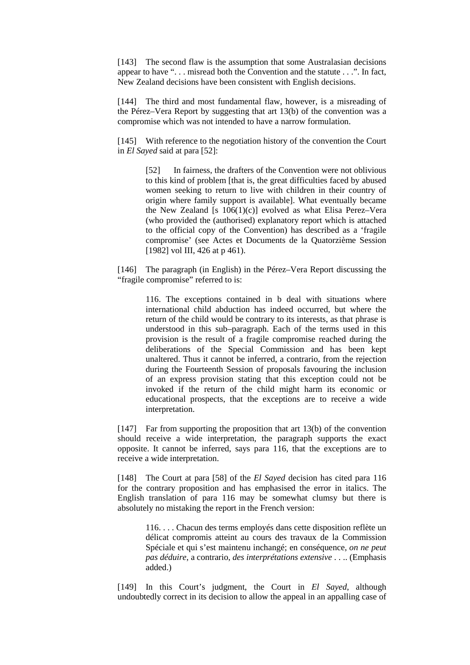[143] The second flaw is the assumption that some Australasian decisions appear to have ". . . misread both the Convention and the statute . . .". In fact, New Zealand decisions have been consistent with English decisions.

[144] The third and most fundamental flaw, however, is a misreading of the Pérez–Vera Report by suggesting that art 13(b) of the convention was a compromise which was not intended to have a narrow formulation.

[145] With reference to the negotiation history of the convention the Court in *El Sayed* said at para [52]:

> [52] In fairness, the drafters of the Convention were not oblivious to this kind of problem [that is, the great difficulties faced by abused women seeking to return to live with children in their country of origin where family support is available]. What eventually became the New Zealand [s 106(1)(c)] evolved as what Elisa Perez–Vera (who provided the (authorised) explanatory report which is attached to the official copy of the Convention) has described as a 'fragile compromise' (see Actes et Documents de la Quatorzième Session [1982] vol III, 426 at p 461).

[146] The paragraph (in English) in the Pérez–Vera Report discussing the "fragile compromise" referred to is:

> 116. The exceptions contained in b deal with situations where international child abduction has indeed occurred, but where the return of the child would be contrary to its interests, as that phrase is understood in this sub–paragraph. Each of the terms used in this provision is the result of a fragile compromise reached during the deliberations of the Special Commission and has been kept unaltered. Thus it cannot be inferred, a contrario, from the rejection during the Fourteenth Session of proposals favouring the inclusion of an express provision stating that this exception could not be invoked if the return of the child might harm its economic or educational prospects, that the exceptions are to receive a wide interpretation.

[147] Far from supporting the proposition that art 13(b) of the convention should receive a wide interpretation, the paragraph supports the exact opposite. It cannot be inferred, says para 116, that the exceptions are to receive a wide interpretation.

[148] The Court at para [58] of the *El Sayed* decision has cited para 116 for the contrary proposition and has emphasised the error in italics. The English translation of para 116 may be somewhat clumsy but there is absolutely no mistaking the report in the French version:

> 116. . . . Chacun des terms employés dans cette disposition reflète un délicat compromis atteint au cours des travaux de la Commission Spéciale et qui s'est maintenu inchangé; en conséquence, *on ne peut pas déduire*, a contrario, *des interprétations extensive* . . .. (Emphasis added.)

[149] In this Court's judgment, the Court in *El Sayed*, although undoubtedly correct in its decision to allow the appeal in an appalling case of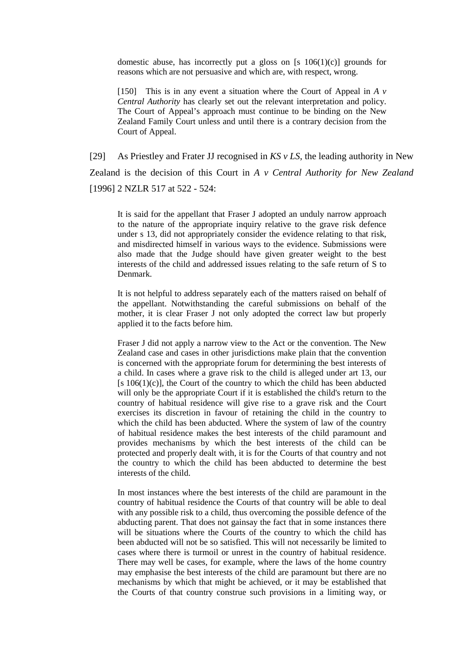domestic abuse, has incorrectly put a gloss on  $[s \ 106(1)(c)]$  grounds for reasons which are not persuasive and which are, with respect, wrong.

[150] This is in any event a situation where the Court of Appeal in  $A$   $\nu$ *Central Authority* has clearly set out the relevant interpretation and policy. The Court of Appeal's approach must continue to be binding on the New Zealand Family Court unless and until there is a contrary decision from the Court of Appeal.

[29] As Priestley and Frater JJ recognised in *KS v LS*, the leading authority in New Zealand is the decision of this Court in *A v Central Authority for New Zealand* [1996] 2 NZLR 517 at 522 - 524:

It is said for the appellant that Fraser J adopted an unduly narrow approach to the nature of the appropriate inquiry relative to the grave risk defence under s 13, did not appropriately consider the evidence relating to that risk, and misdirected himself in various ways to the evidence. Submissions were also made that the Judge should have given greater weight to the best interests of the child and addressed issues relating to the safe return of S to Denmark.

It is not helpful to address separately each of the matters raised on behalf of the appellant. Notwithstanding the careful submissions on behalf of the mother, it is clear Fraser J not only adopted the correct law but properly applied it to the facts before him.

Fraser J did not apply a narrow view to the Act or the convention. The New Zealand case and cases in other jurisdictions make plain that the convention is concerned with the appropriate forum for determining the best interests of a child. In cases where a grave risk to the child is alleged under art 13, our [s  $106(1)(c)$ ], the Court of the country to which the child has been abducted will only be the appropriate Court if it is established the child's return to the country of habitual residence will give rise to a grave risk and the Court exercises its discretion in favour of retaining the child in the country to which the child has been abducted. Where the system of law of the country of habitual residence makes the best interests of the child paramount and provides mechanisms by which the best interests of the child can be protected and properly dealt with, it is for the Courts of that country and not the country to which the child has been abducted to determine the best interests of the child.

In most instances where the best interests of the child are paramount in the country of habitual residence the Courts of that country will be able to deal with any possible risk to a child, thus overcoming the possible defence of the abducting parent. That does not gainsay the fact that in some instances there will be situations where the Courts of the country to which the child has been abducted will not be so satisfied. This will not necessarily be limited to cases where there is turmoil or unrest in the country of habitual residence. There may well be cases, for example, where the laws of the home country may emphasise the best interests of the child are paramount but there are no mechanisms by which that might be achieved, or it may be established that the Courts of that country construe such provisions in a limiting way, or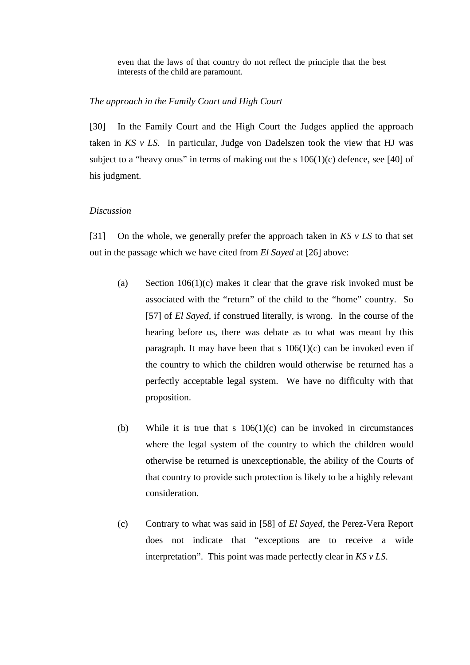even that the laws of that country do not reflect the principle that the best interests of the child are paramount.

## *The approach in the Family Court and High Court*

[30] In the Family Court and the High Court the Judges applied the approach taken in *KS v LS*. In particular, Judge von Dadelszen took the view that HJ was subject to a "heavy onus" in terms of making out the s  $106(1)(c)$  defence, see [40] of his judgment.

### *Discussion*

[31] On the whole, we generally prefer the approach taken in *KS v LS* to that set out in the passage which we have cited from *El Sayed* at [26] above:

- (a) Section  $106(1)(c)$  makes it clear that the grave risk invoked must be associated with the "return" of the child to the "home" country. So [57] of *El Sayed*, if construed literally, is wrong. In the course of the hearing before us, there was debate as to what was meant by this paragraph. It may have been that s  $106(1)(c)$  can be invoked even if the country to which the children would otherwise be returned has a perfectly acceptable legal system. We have no difficulty with that proposition.
- (b) While it is true that s  $106(1)(c)$  can be invoked in circumstances where the legal system of the country to which the children would otherwise be returned is unexceptionable, the ability of the Courts of that country to provide such protection is likely to be a highly relevant consideration.
- (c) Contrary to what was said in [58] of *El Sayed*, the Perez-Vera Report does not indicate that "exceptions are to receive a wide interpretation". This point was made perfectly clear in *KS v LS*.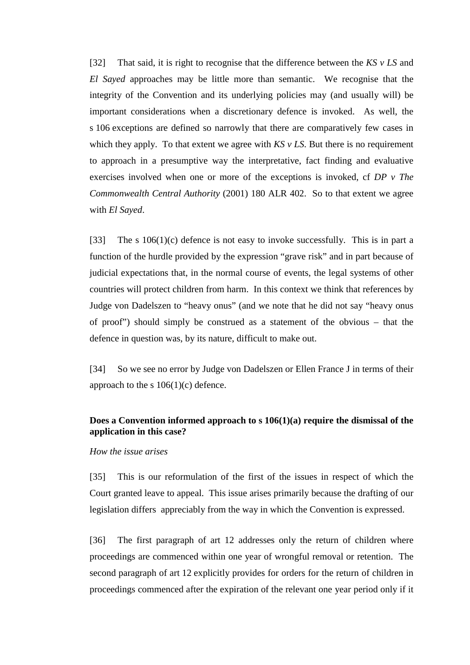[32] That said, it is right to recognise that the difference between the *KS v LS* and *El Sayed* approaches may be little more than semantic. We recognise that the integrity of the Convention and its underlying policies may (and usually will) be important considerations when a discretionary defence is invoked. As well, the s 106 exceptions are defined so narrowly that there are comparatively few cases in which they apply. To that extent we agree with  $KS$   $v$  LS. But there is no requirement to approach in a presumptive way the interpretative, fact finding and evaluative exercises involved when one or more of the exceptions is invoked, cf *DP v The Commonwealth Central Authority* (2001) 180 ALR 402. So to that extent we agree with *El Sayed*.

[33] The s  $106(1)(c)$  defence is not easy to invoke successfully. This is in part a function of the hurdle provided by the expression "grave risk" and in part because of judicial expectations that, in the normal course of events, the legal systems of other countries will protect children from harm. In this context we think that references by Judge von Dadelszen to "heavy onus" (and we note that he did not say "heavy onus of proof") should simply be construed as a statement of the obvious – that the defence in question was, by its nature, difficult to make out.

[34] So we see no error by Judge von Dadelszen or Ellen France J in terms of their approach to the s  $106(1)(c)$  defence.

# **Does a Convention informed approach to s 106(1)(a) require the dismissal of the application in this case?**

### *How the issue arises*

[35] This is our reformulation of the first of the issues in respect of which the Court granted leave to appeal. This issue arises primarily because the drafting of our legislation differs appreciably from the way in which the Convention is expressed.

[36] The first paragraph of art 12 addresses only the return of children where proceedings are commenced within one year of wrongful removal or retention. The second paragraph of art 12 explicitly provides for orders for the return of children in proceedings commenced after the expiration of the relevant one year period only if it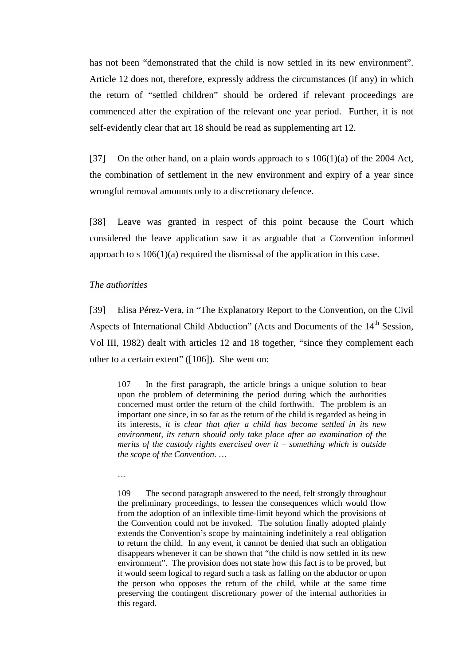has not been "demonstrated that the child is now settled in its new environment". Article 12 does not, therefore, expressly address the circumstances (if any) in which the return of "settled children" should be ordered if relevant proceedings are commenced after the expiration of the relevant one year period. Further, it is not self-evidently clear that art 18 should be read as supplementing art 12.

[37] On the other hand, on a plain words approach to s  $106(1)(a)$  of the 2004 Act, the combination of settlement in the new environment and expiry of a year since wrongful removal amounts only to a discretionary defence.

[38] Leave was granted in respect of this point because the Court which considered the leave application saw it as arguable that a Convention informed approach to s  $106(1)(a)$  required the dismissal of the application in this case.

### *The authorities*

[39] Elisa Pérez-Vera, in "The Explanatory Report to the Convention, on the Civil Aspects of International Child Abduction" (Acts and Documents of the 14<sup>th</sup> Session, Vol III, 1982) dealt with articles 12 and 18 together, "since they complement each other to a certain extent" ([106]). She went on:

107 In the first paragraph, the article brings a unique solution to bear upon the problem of determining the period during which the authorities concerned must order the return of the child forthwith. The problem is an important one since, in so far as the return of the child is regarded as being in its interests, *it is clear that after a child has become settled in its new environment, its return should only take place after an examination of the merits of the custody rights exercised over it – something which is outside the scope of the Convention*. …

…

109 The second paragraph answered to the need, felt strongly throughout the preliminary proceedings, to lessen the consequences which would flow from the adoption of an inflexible time-limit beyond which the provisions of the Convention could not be invoked. The solution finally adopted plainly extends the Convention's scope by maintaining indefinitely a real obligation to return the child. In any event, it cannot be denied that such an obligation disappears whenever it can be shown that "the child is now settled in its new environment". The provision does not state how this fact is to be proved, but it would seem logical to regard such a task as falling on the abductor or upon the person who opposes the return of the child, while at the same time preserving the contingent discretionary power of the internal authorities in this regard.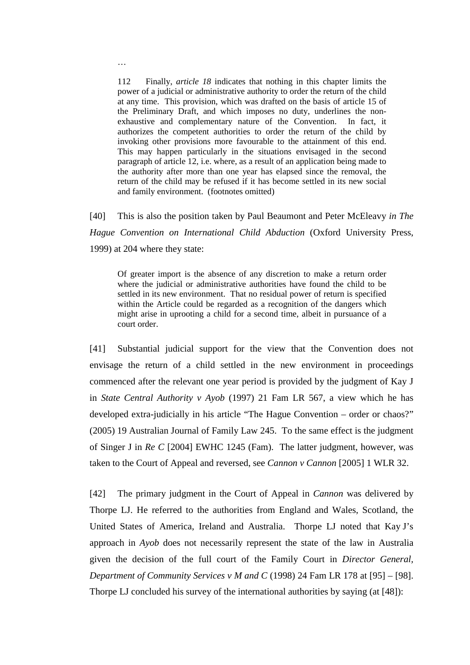112 Finally, *article 18* indicates that nothing in this chapter limits the power of a judicial or administrative authority to order the return of the child at any time. This provision, which was drafted on the basis of article 15 of the Preliminary Draft, and which imposes no duty, underlines the nonexhaustive and complementary nature of the Convention. In fact, it authorizes the competent authorities to order the return of the child by invoking other provisions more favourable to the attainment of this end. This may happen particularly in the situations envisaged in the second paragraph of article 12, i.e. where, as a result of an application being made to the authority after more than one year has elapsed since the removal, the return of the child may be refused if it has become settled in its new social and family environment. (footnotes omitted)

[40] This is also the position taken by Paul Beaumont and Peter McEleavy *in The Hague Convention on International Child Abduction* (Oxford University Press, 1999) at 204 where they state:

Of greater import is the absence of any discretion to make a return order where the judicial or administrative authorities have found the child to be settled in its new environment. That no residual power of return is specified within the Article could be regarded as a recognition of the dangers which might arise in uprooting a child for a second time, albeit in pursuance of a court order.

[41] Substantial judicial support for the view that the Convention does not envisage the return of a child settled in the new environment in proceedings commenced after the relevant one year period is provided by the judgment of Kay J in *State Central Authority v Ayob* (1997) 21 Fam LR 567, a view which he has developed extra-judicially in his article "The Hague Convention – order or chaos?" (2005) 19 Australian Journal of Family Law 245. To the same effect is the judgment of Singer J in *Re C* [2004] EWHC 1245 (Fam). The latter judgment, however, was taken to the Court of Appeal and reversed, see *Cannon v Cannon* [2005] 1 WLR 32.

[42] The primary judgment in the Court of Appeal in *Cannon* was delivered by Thorpe LJ. He referred to the authorities from England and Wales, Scotland, the United States of America, Ireland and Australia. Thorpe LJ noted that Kay J's approach in *Ayob* does not necessarily represent the state of the law in Australia given the decision of the full court of the Family Court in *Director General, Department of Community Services v M and C* (1998) 24 Fam LR 178 at [95] – [98]. Thorpe LJ concluded his survey of the international authorities by saying (at [48]):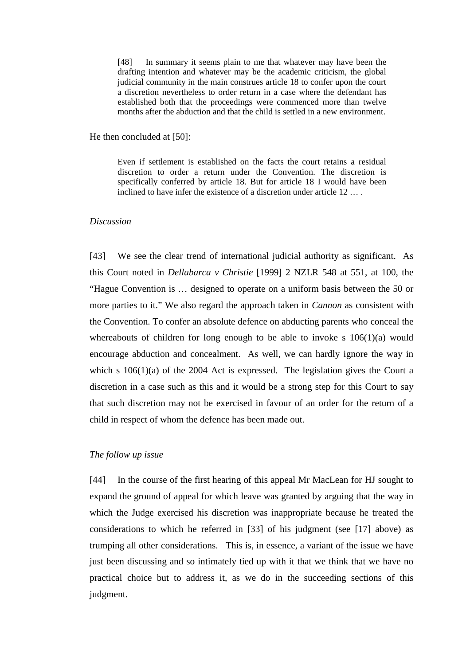[48] In summary it seems plain to me that whatever may have been the drafting intention and whatever may be the academic criticism, the global judicial community in the main construes article 18 to confer upon the court a discretion nevertheless to order return in a case where the defendant has established both that the proceedings were commenced more than twelve months after the abduction and that the child is settled in a new environment.

He then concluded at [50]:

Even if settlement is established on the facts the court retains a residual discretion to order a return under the Convention. The discretion is specifically conferred by article 18. But for article 18 I would have been inclined to have infer the existence of a discretion under article 12 … .

#### *Discussion*

[43] We see the clear trend of international judicial authority as significant. As this Court noted in *Dellabarca v Christie* [1999] 2 NZLR 548 at 551, at 100, the "Hague Convention is … designed to operate on a uniform basis between the 50 or more parties to it." We also regard the approach taken in *Cannon* as consistent with the Convention. To confer an absolute defence on abducting parents who conceal the whereabouts of children for long enough to be able to invoke s  $106(1)(a)$  would encourage abduction and concealment. As well, we can hardly ignore the way in which s  $106(1)(a)$  of the 2004 Act is expressed. The legislation gives the Court a discretion in a case such as this and it would be a strong step for this Court to say that such discretion may not be exercised in favour of an order for the return of a child in respect of whom the defence has been made out.

# *The follow up issue*

[44] In the course of the first hearing of this appeal Mr MacLean for HJ sought to expand the ground of appeal for which leave was granted by arguing that the way in which the Judge exercised his discretion was inappropriate because he treated the considerations to which he referred in [33] of his judgment (see [17] above) as trumping all other considerations. This is, in essence, a variant of the issue we have just been discussing and so intimately tied up with it that we think that we have no practical choice but to address it, as we do in the succeeding sections of this judgment.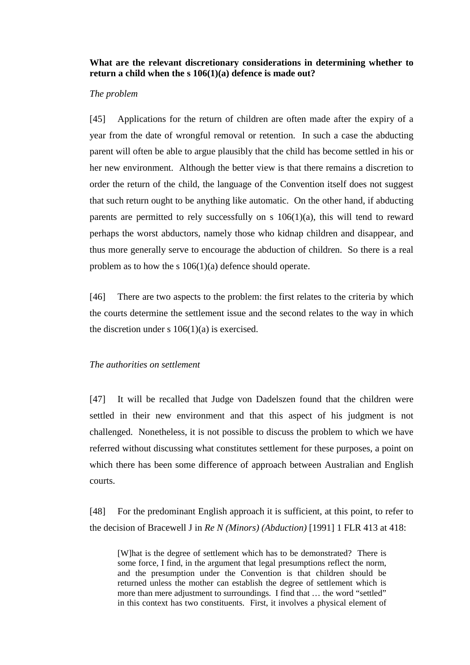# **What are the relevant discretionary considerations in determining whether to return a child when the s 106(1)(a) defence is made out?**

### *The problem*

[45] Applications for the return of children are often made after the expiry of a year from the date of wrongful removal or retention. In such a case the abducting parent will often be able to argue plausibly that the child has become settled in his or her new environment. Although the better view is that there remains a discretion to order the return of the child, the language of the Convention itself does not suggest that such return ought to be anything like automatic. On the other hand, if abducting parents are permitted to rely successfully on s  $106(1)(a)$ , this will tend to reward perhaps the worst abductors, namely those who kidnap children and disappear, and thus more generally serve to encourage the abduction of children. So there is a real problem as to how the s 106(1)(a) defence should operate.

[46] There are two aspects to the problem: the first relates to the criteria by which the courts determine the settlement issue and the second relates to the way in which the discretion under s  $106(1)(a)$  is exercised.

# *The authorities on settlement*

[47] It will be recalled that Judge von Dadelszen found that the children were settled in their new environment and that this aspect of his judgment is not challenged. Nonetheless, it is not possible to discuss the problem to which we have referred without discussing what constitutes settlement for these purposes, a point on which there has been some difference of approach between Australian and English courts.

[48] For the predominant English approach it is sufficient, at this point, to refer to the decision of Bracewell J in *Re N (Minors) (Abduction)* [1991] 1 FLR 413 at 418:

[W]hat is the degree of settlement which has to be demonstrated? There is some force, I find, in the argument that legal presumptions reflect the norm, and the presumption under the Convention is that children should be returned unless the mother can establish the degree of settlement which is more than mere adjustment to surroundings. I find that … the word "settled" in this context has two constituents. First, it involves a physical element of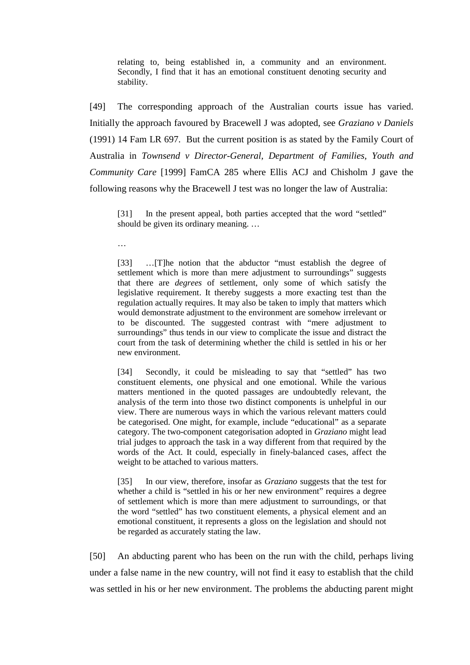relating to, being established in, a community and an environment. Secondly, I find that it has an emotional constituent denoting security and stability.

[49] The corresponding approach of the Australian courts issue has varied. Initially the approach favoured by Bracewell J was adopted, see *Graziano v Daniels* (1991) 14 Fam LR 697. But the current position is as stated by the Family Court of Australia in *Townsend v Director-General, Department of Families, Youth and Community Care* [1999] FamCA 285 where Ellis ACJ and Chisholm J gave the following reasons why the Bracewell J test was no longer the law of Australia:

[31] In the present appeal, both parties accepted that the word "settled" should be given its ordinary meaning. …

…

[33] …[T]he notion that the abductor "must establish the degree of settlement which is more than mere adjustment to surroundings" suggests that there are *degrees* of settlement, only some of which satisfy the legislative requirement. It thereby suggests a more exacting test than the regulation actually requires. It may also be taken to imply that matters which would demonstrate adjustment to the environment are somehow irrelevant or to be discounted. The suggested contrast with "mere adjustment to surroundings" thus tends in our view to complicate the issue and distract the court from the task of determining whether the child is settled in his or her new environment.

[34] Secondly, it could be misleading to say that "settled" has two constituent elements, one physical and one emotional. While the various matters mentioned in the quoted passages are undoubtedly relevant, the analysis of the term into those two distinct components is unhelpful in our view. There are numerous ways in which the various relevant matters could be categorised. One might, for example, include "educational" as a separate category. The two-component categorisation adopted in *Graziano* might lead trial judges to approach the task in a way different from that required by the words of the Act. It could, especially in finely-balanced cases, affect the weight to be attached to various matters.

[35] In our view, therefore, insofar as *Graziano* suggests that the test for whether a child is "settled in his or her new environment" requires a degree of settlement which is more than mere adjustment to surroundings, or that the word "settled" has two constituent elements, a physical element and an emotional constituent, it represents a gloss on the legislation and should not be regarded as accurately stating the law.

[50] An abducting parent who has been on the run with the child, perhaps living under a false name in the new country, will not find it easy to establish that the child was settled in his or her new environment. The problems the abducting parent might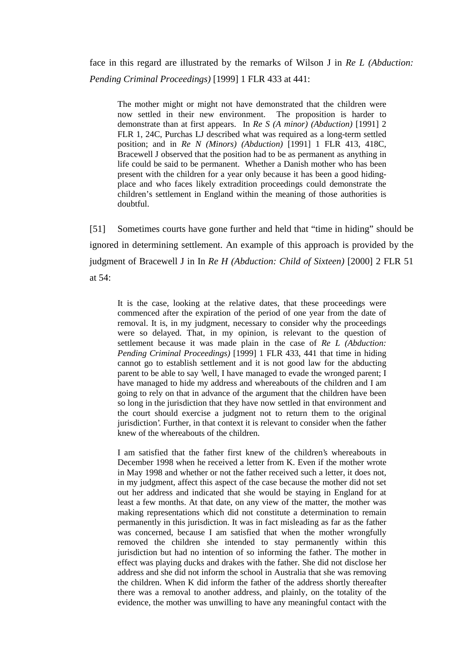face in this regard are illustrated by the remarks of Wilson J in *Re L (Abduction: Pending Criminal Proceedings)* [1999] 1 FLR 433 at 441:

The mother might or might not have demonstrated that the children were now settled in their new environment. The proposition is harder to demonstrate than at first appears. In *Re S (A minor) (Abduction)* [1991] 2 FLR 1, 24C, Purchas LJ described what was required as a long-term settled position; and in *Re N (Minors) (Abduction)* [1991] 1 FLR 413, 418C, Bracewell J observed that the position had to be as permanent as anything in life could be said to be permanent. Whether a Danish mother who has been present with the children for a year only because it has been a good hidingplace and who faces likely extradition proceedings could demonstrate the children's settlement in England within the meaning of those authorities is doubtful.

[51] Sometimes courts have gone further and held that "time in hiding" should be ignored in determining settlement. An example of this approach is provided by the judgment of Bracewell J in In *Re H (Abduction: Child of Sixteen)* [2000] 2 FLR 51 at 54:

It is the case, looking at the relative dates, that these proceedings were commenced after the expiration of the period of one year from the date of removal. It is, in my judgment, necessary to consider why the proceedings were so delayed. That, in my opinion, is relevant to the question of settlement because it was made plain in the case of *Re L (Abduction: Pending Criminal Proceedings)* [1999] 1 FLR 433, 441 that time in hiding cannot go to establish settlement and it is not good law for the abducting parent to be able to say 'well, I have managed to evade the wronged parent; I have managed to hide my address and whereabouts of the children and I am going to rely on that in advance of the argument that the children have been so long in the jurisdiction that they have now settled in that environment and the court should exercise a judgment not to return them to the original jurisdiction'. Further, in that context it is relevant to consider when the father knew of the whereabouts of the children.

I am satisfied that the father first knew of the children's whereabouts in December 1998 when he received a letter from K. Even if the mother wrote in May 1998 and whether or not the father received such a letter, it does not, in my judgment, affect this aspect of the case because the mother did not set out her address and indicated that she would be staying in England for at least a few months. At that date, on any view of the matter, the mother was making representations which did not constitute a determination to remain permanently in this jurisdiction. It was in fact misleading as far as the father was concerned, because I am satisfied that when the mother wrongfully removed the children she intended to stay permanently within this jurisdiction but had no intention of so informing the father. The mother in effect was playing ducks and drakes with the father. She did not disclose her address and she did not inform the school in Australia that she was removing the children. When K did inform the father of the address shortly thereafter there was a removal to another address, and plainly, on the totality of the evidence, the mother was unwilling to have any meaningful contact with the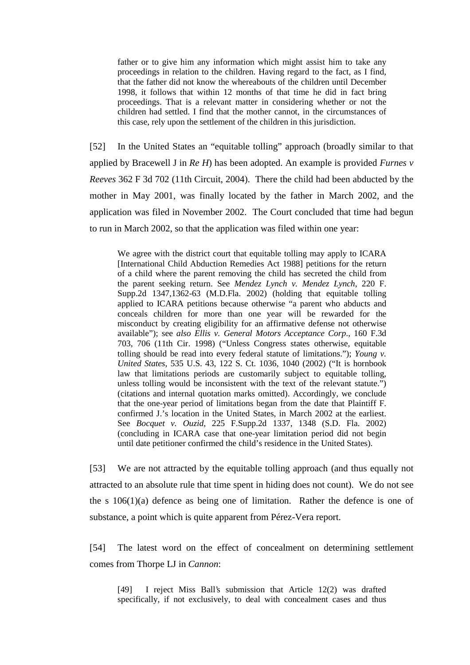father or to give him any information which might assist him to take any proceedings in relation to the children. Having regard to the fact, as I find, that the father did not know the whereabouts of the children until December 1998, it follows that within 12 months of that time he did in fact bring proceedings. That is a relevant matter in considering whether or not the children had settled. I find that the mother cannot, in the circumstances of this case, rely upon the settlement of the children in this jurisdiction.

[52] In the United States an "equitable tolling" approach (broadly similar to that applied by Bracewell J in *Re H*) has been adopted. An example is provided *Furnes v Reeves* 362 F 3d 702 (11th Circuit, 2004). There the child had been abducted by the mother in May 2001, was finally located by the father in March 2002, and the application was filed in November 2002. The Court concluded that time had begun to run in March 2002, so that the application was filed within one year:

We agree with the district court that equitable tolling may apply to ICARA [International Child Abduction Remedies Act 1988] petitions for the return of a child where the parent removing the child has secreted the child from the parent seeking return. See *Mendez Lynch v. Mendez Lynch*, 220 F. Supp.2d 1347,1362-63 (M.D.Fla. 2002) (holding that equitable tolling applied to ICARA petitions because otherwise "a parent who abducts and conceals children for more than one year will be rewarded for the misconduct by creating eligibility for an affirmative defense not otherwise available"); see *also Ellis v. General Motors Acceptance Corp*., 160 F.3d 703, 706 (11th Cir. 1998) ("Unless Congress states otherwise, equitable tolling should be read into every federal statute of limitations."); *Young v. United States*, 535 U.S. 43, 122 S. Ct. 1036, 1040 (2002) ("It is hornbook law that limitations periods are customarily subject to equitable tolling, unless tolling would be inconsistent with the text of the relevant statute.") (citations and internal quotation marks omitted). Accordingly, we conclude that the one-year period of limitations began from the date that Plaintiff F. confirmed J.'s location in the United States, in March 2002 at the earliest. See *Bocquet v. Ouzid*, 225 F.Supp.2d 1337, 1348 (S.D. Fla. 2002) (concluding in ICARA case that one-year limitation period did not begin until date petitioner confirmed the child's residence in the United States).

[53] We are not attracted by the equitable tolling approach (and thus equally not attracted to an absolute rule that time spent in hiding does not count). We do not see the s 106(1)(a) defence as being one of limitation. Rather the defence is one of substance, a point which is quite apparent from Pérez-Vera report.

[54] The latest word on the effect of concealment on determining settlement comes from Thorpe LJ in *Cannon*:

[49] I reject Miss Ball's submission that Article 12(2) was drafted specifically, if not exclusively, to deal with concealment cases and thus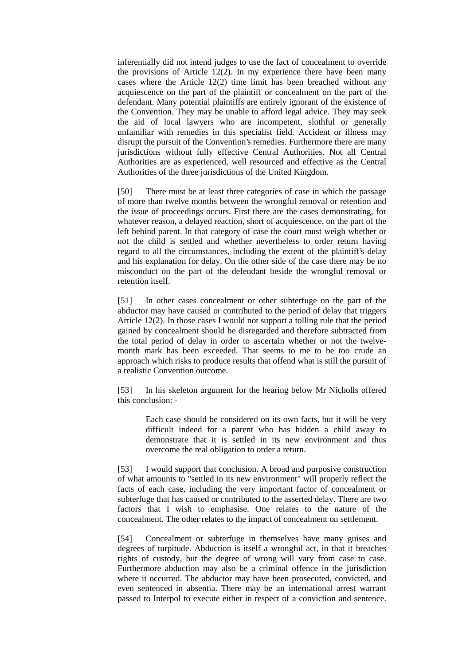inferentially did not intend judges to use the fact of concealment to override the provisions of Article 12(2). In my experience there have been many cases where the Article 12(2) time limit has been breached without any acquiescence on the part of the plaintiff or concealment on the part of the defendant. Many potential plaintiffs are entirely ignorant of the existence of the Convention. They may be unable to afford legal advice. They may seek the aid of local lawyers who are incompetent, slothful or generally unfamiliar with remedies in this specialist field. Accident or illness may disrupt the pursuit of the Convention's remedies. Furthermore there are many jurisdictions without fully effective Central Authorities. Not all Central Authorities are as experienced, well resourced and effective as the Central Authorities of the three jurisdictions of the United Kingdom.

[50] There must be at least three categories of case in which the passage of more than twelve months between the wrongful removal or retention and the issue of proceedings occurs. First there are the cases demonstrating, for whatever reason, a delayed reaction, short of acquiescence, on the part of the left behind parent. In that category of case the court must weigh whether or not the child is settled and whether nevertheless to order return having regard to all the circumstances, including the extent of the plaintiff's delay and his explanation for delay. On the other side of the case there may be no misconduct on the part of the defendant beside the wrongful removal or retention itself.

[51] In other cases concealment or other subterfuge on the part of the abductor may have caused or contributed to the period of delay that triggers Article 12(2). In those cases I would not support a tolling rule that the period gained by concealment should be disregarded and therefore subtracted from the total period of delay in order to ascertain whether or not the twelvemonth mark has been exceeded. That seems to me to be too crude an approach which risks to produce results that offend what is still the pursuit of a realistic Convention outcome.

[53] In his skeleton argument for the hearing below Mr Nicholls offered this conclusion: -

> Each case should be considered on its own facts, but it will be very difficult indeed for a parent who has hidden a child away to demonstrate that it is settled in its new environment and thus overcome the real obligation to order a return.

[53] I would support that conclusion. A broad and purposive construction of what amounts to "settled in its new environment" will properly reflect the facts of each case, including the very important factor of concealment or subterfuge that has caused or contributed to the asserted delay. There are two factors that I wish to emphasise. One relates to the nature of the concealment. The other relates to the impact of concealment on settlement.

[54] Concealment or subterfuge in themselves have many guises and degrees of turpitude. Abduction is itself a wrongful act, in that it breaches rights of custody, but the degree of wrong will vary from case to case. Furthermore abduction may also be a criminal offence in the jurisdiction where it occurred. The abductor may have been prosecuted, convicted, and even sentenced in absentia. There may be an international arrest warrant passed to Interpol to execute either in respect of a conviction and sentence.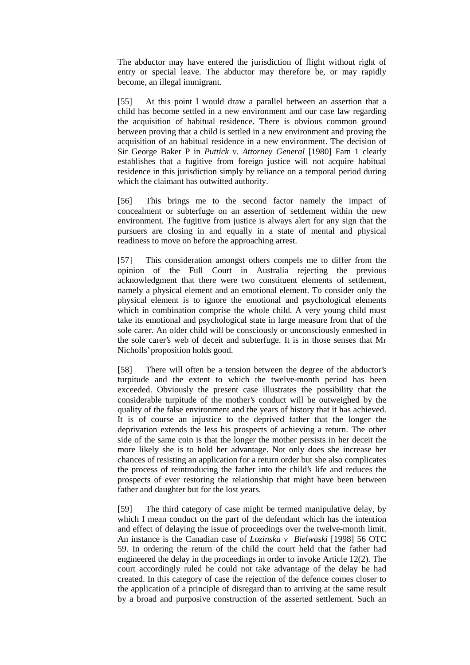The abductor may have entered the jurisdiction of flight without right of entry or special leave. The abductor may therefore be, or may rapidly become, an illegal immigrant.

[55] At this point I would draw a parallel between an assertion that a child has become settled in a new environment and our case law regarding the acquisition of habitual residence. There is obvious common ground between proving that a child is settled in a new environment and proving the acquisition of an habitual residence in a new environment. The decision of Sir George Baker P in *Puttick v. Attorney General* [1980] Fam 1 clearly establishes that a fugitive from foreign justice will not acquire habitual residence in this jurisdiction simply by reliance on a temporal period during which the claimant has outwitted authority.

[56] This brings me to the second factor namely the impact of concealment or subterfuge on an assertion of settlement within the new environment. The fugitive from justice is always alert for any sign that the pursuers are closing in and equally in a state of mental and physical readiness to move on before the approaching arrest.

[57] This consideration amongst others compels me to differ from the opinion of the Full Court in Australia rejecting the previous acknowledgment that there were two constituent elements of settlement, namely a physical element and an emotional element. To consider only the physical element is to ignore the emotional and psychological elements which in combination comprise the whole child. A very young child must take its emotional and psychological state in large measure from that of the sole carer. An older child will be consciously or unconsciously enmeshed in the sole carer's web of deceit and subterfuge. It is in those senses that Mr Nicholls' proposition holds good.

[58] There will often be a tension between the degree of the abductor's turpitude and the extent to which the twelve-month period has been exceeded. Obviously the present case illustrates the possibility that the considerable turpitude of the mother's conduct will be outweighed by the quality of the false environment and the years of history that it has achieved. It is of course an injustice to the deprived father that the longer the deprivation extends the less his prospects of achieving a return. The other side of the same coin is that the longer the mother persists in her deceit the more likely she is to hold her advantage. Not only does she increase her chances of resisting an application for a return order but she also complicates the process of reintroducing the father into the child's life and reduces the prospects of ever restoring the relationship that might have been between father and daughter but for the lost years.

[59] The third category of case might be termed manipulative delay, by which I mean conduct on the part of the defendant which has the intention and effect of delaying the issue of proceedings over the twelve-month limit. An instance is the Canadian case of *Lozinska v Bielwaski* [1998] 56 OTC 59. In ordering the return of the child the court held that the father had engineered the delay in the proceedings in order to invoke Article 12(2). The court accordingly ruled he could not take advantage of the delay he had created. In this category of case the rejection of the defence comes closer to the application of a principle of disregard than to arriving at the same result by a broad and purposive construction of the asserted settlement. Such an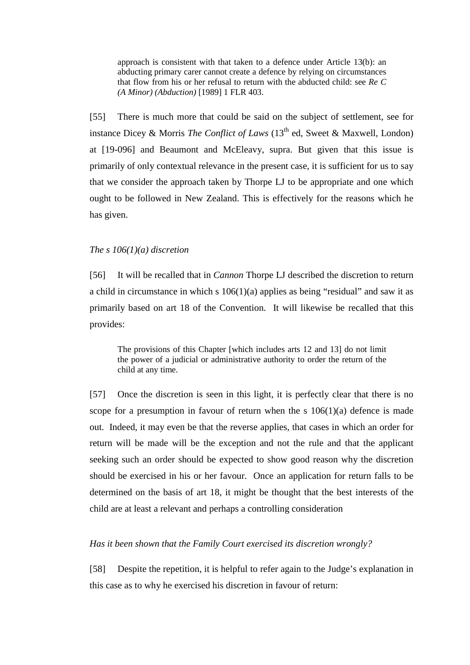approach is consistent with that taken to a defence under Article 13(b): an abducting primary carer cannot create a defence by relying on circumstances that flow from his or her refusal to return with the abducted child: see *Re C (A Minor) (Abduction)* [1989] 1 FLR 403.

[55] There is much more that could be said on the subject of settlement, see for instance Dicey & Morris *The Conflict of Laws*  $(13<sup>th</sup>$  ed, Sweet & Maxwell, London) at [19-096] and Beaumont and McEleavy, supra. But given that this issue is primarily of only contextual relevance in the present case, it is sufficient for us to say that we consider the approach taken by Thorpe LJ to be appropriate and one which ought to be followed in New Zealand. This is effectively for the reasons which he has given.

# *The s 106(1)(a) discretion*

[56] It will be recalled that in *Cannon* Thorpe LJ described the discretion to return a child in circumstance in which s  $106(1)(a)$  applies as being "residual" and saw it as primarily based on art 18 of the Convention. It will likewise be recalled that this provides:

The provisions of this Chapter [which includes arts 12 and 13] do not limit the power of a judicial or administrative authority to order the return of the child at any time.

[57] Once the discretion is seen in this light, it is perfectly clear that there is no scope for a presumption in favour of return when the s  $106(1)(a)$  defence is made out. Indeed, it may even be that the reverse applies, that cases in which an order for return will be made will be the exception and not the rule and that the applicant seeking such an order should be expected to show good reason why the discretion should be exercised in his or her favour. Once an application for return falls to be determined on the basis of art 18, it might be thought that the best interests of the child are at least a relevant and perhaps a controlling consideration

## *Has it been shown that the Family Court exercised its discretion wrongly?*

[58] Despite the repetition, it is helpful to refer again to the Judge's explanation in this case as to why he exercised his discretion in favour of return: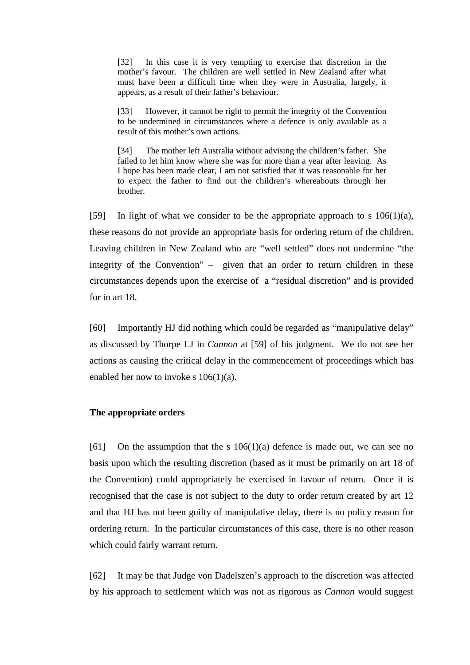[32] In this case it is very tempting to exercise that discretion in the mother's favour. The children are well settled in New Zealand after what must have been a difficult time when they were in Australia, largely, it appears, as a result of their father's behaviour.

[33] However, it cannot be right to permit the integrity of the Convention to be undermined in circumstances where a defence is only available as a result of this mother's own actions.

[34] The mother left Australia without advising the children's father. She failed to let him know where she was for more than a year after leaving. As I hope has been made clear, I am not satisfied that it was reasonable for her to expect the father to find out the children's whereabouts through her brother.

[59] In light of what we consider to be the appropriate approach to s  $106(1)(a)$ , these reasons do not provide an appropriate basis for ordering return of the children. Leaving children in New Zealand who are "well settled" does not undermine "the integrity of the Convention" – given that an order to return children in these circumstances depends upon the exercise of a "residual discretion" and is provided for in art 18.

[60] Importantly HJ did nothing which could be regarded as "manipulative delay" as discussed by Thorpe LJ in *Cannon* at [59] of his judgment. We do not see her actions as causing the critical delay in the commencement of proceedings which has enabled her now to invoke s 106(1)(a).

# **The appropriate orders**

[61] On the assumption that the s  $106(1)(a)$  defence is made out, we can see no basis upon which the resulting discretion (based as it must be primarily on art 18 of the Convention) could appropriately be exercised in favour of return. Once it is recognised that the case is not subject to the duty to order return created by art 12 and that HJ has not been guilty of manipulative delay, there is no policy reason for ordering return. In the particular circumstances of this case, there is no other reason which could fairly warrant return.

[62] It may be that Judge von Dadelszen's approach to the discretion was affected by his approach to settlement which was not as rigorous as *Cannon* would suggest